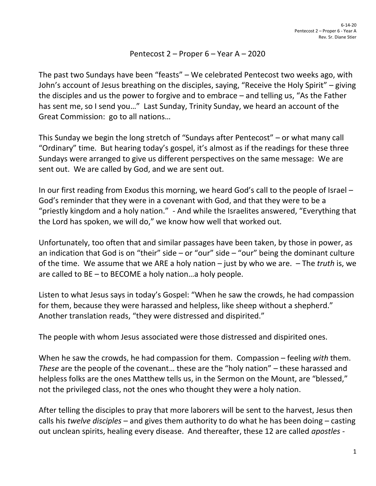## Pentecost 2 – Proper 6 – Year A – 2020

The past two Sundays have been "feasts" – We celebrated Pentecost two weeks ago, with John's account of Jesus breathing on the disciples, saying, "Receive the Holy Spirit" – giving the disciples and us the power to forgive and to embrace – and telling us, "As the Father has sent me, so I send you…" Last Sunday, Trinity Sunday, we heard an account of the Great Commission: go to all nations…

This Sunday we begin the long stretch of "Sundays after Pentecost" – or what many call "Ordinary" time. But hearing today's gospel, it's almost as if the readings for these three Sundays were arranged to give us different perspectives on the same message: We are sent out. We are called by God, and we are sent out.

In our first reading from Exodus this morning, we heard God's call to the people of Israel – God's reminder that they were in a covenant with God, and that they were to be a "priestly kingdom and a holy nation." - And while the Israelites answered, "Everything that the Lord has spoken, we will do," we know how well that worked out.

Unfortunately, too often that and similar passages have been taken, by those in power, as an indication that God is on "their" side – or "our" side – "our" being the dominant culture of the time. We assume that we ARE a holy nation – just by who we are. – The *truth* is, we are called to BE – to BECOME a holy nation…a holy people.

Listen to what Jesus says in today's Gospel: "When he saw the crowds, he had compassion for them, because they were harassed and helpless, like sheep without a shepherd." Another translation reads, "they were distressed and dispirited."

The people with whom Jesus associated were those distressed and dispirited ones.

When he saw the crowds, he had compassion for them. Compassion – feeling *with* them. *These* are the people of the covenant… these are the "holy nation" – these harassed and helpless folks are the ones Matthew tells us, in the Sermon on the Mount, are "blessed," not the privileged class, not the ones who thought they were a holy nation.

After telling the disciples to pray that more laborers will be sent to the harvest, Jesus then calls his *twelve disciples* – and gives them authority to do what he has been doing – casting out unclean spirits, healing every disease. And thereafter, these 12 are called *apostles -*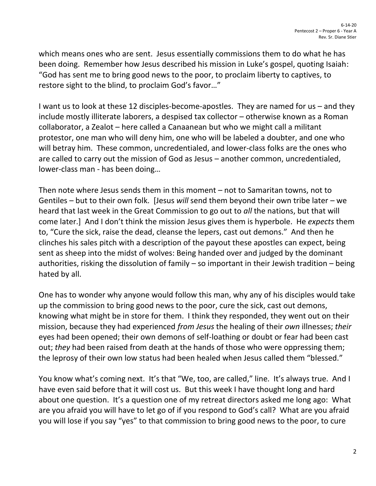which means ones who are sent. Jesus essentially commissions them to do what he has been doing. Remember how Jesus described his mission in Luke's gospel, quoting Isaiah: "God has sent me to bring good news to the poor, to proclaim liberty to captives, to restore sight to the blind, to proclaim God's favor…"

I want us to look at these 12 disciples-become-apostles. They are named for us – and they include mostly illiterate laborers, a despised tax collector – otherwise known as a Roman collaborator, a Zealot – here called a Canaanean but who we might call a militant protestor, one man who will deny him, one who will be labeled a doubter, and one who will betray him. These common, uncredentialed, and lower-class folks are the ones who are called to carry out the mission of God as Jesus – another common, uncredentialed, lower-class man - has been doing…

Then note where Jesus sends them in this moment – not to Samaritan towns, not to Gentiles – but to their own folk. [Jesus *will* send them beyond their own tribe later – we heard that last week in the Great Commission to go out to *all* the nations, but that will come later.] And I don't think the mission Jesus gives them is hyperbole. He *expects* them to, "Cure the sick, raise the dead, cleanse the lepers, cast out demons." And then he clinches his sales pitch with a description of the payout these apostles can expect, being sent as sheep into the midst of wolves: Being handed over and judged by the dominant authorities, risking the dissolution of family – so important in their Jewish tradition – being hated by all.

One has to wonder why anyone would follow this man, why any of his disciples would take up the commission to bring good news to the poor, cure the sick, cast out demons, knowing what might be in store for them. I think they responded, they went out on their mission, because they had experienced *from Jesus* the healing of their *own* illnesses; *their* eyes had been opened; their own demons of self-loathing or doubt or fear had been cast out; *they* had been raised from death at the hands of those who were oppressing them; the leprosy of their own low status had been healed when Jesus called them "blessed."

You know what's coming next. It's that "We, too, are called," line. It's always true. And I have even said before that it will cost us. But this week I have thought long and hard about one question. It's a question one of my retreat directors asked me long ago: What are you afraid you will have to let go of if you respond to God's call? What are you afraid you will lose if you say "yes" to that commission to bring good news to the poor, to cure